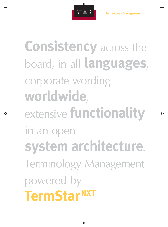

**Consistency** across the board, in all **languages**, corporate wording **worldwide**, extensive **functionality**  in an open **system architecture**. Terminology Management powered by **TermStarNXT**